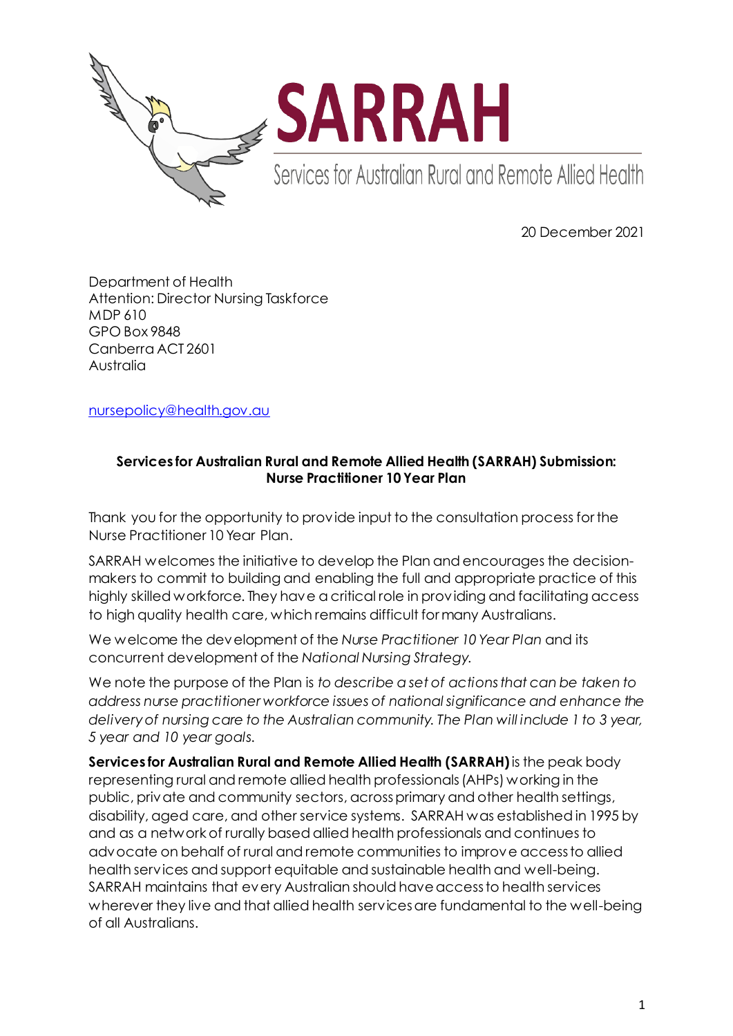

20 December 2021

Department of Health Attention: Director Nursing Taskforce MDP 610 GPO Box 9848 Canberra ACT 2601 Australia

[nursepolicy@health.gov.au](mailto:nursepolicy@health.gov.au)

## **Services for Australian Rural and Remote Allied Health (SARRAH) Submission: Nurse Practitioner 10 Year Plan**

Thank you for the opportunity to provide input to the consultation process for the Nurse Practitioner 10 Year Plan.

SARRAH welcomes the initiative to develop the Plan and encourages the decisionmakers to commit to building and enabling the full and appropriate practice of this highly skilled workforce. They have a critical role in providing and facilitating access to high quality health care, which remains difficult for many Australians.

We welcome the development of the *Nurse Practitioner 10 Year Plan* and its concurrent development of the *National Nursing Strategy.*

We note the purpose of the Plan is *to describe a set of actions that can be taken to address nurse practitioner workforce issues of national significance and enhance the delivery of nursing care to the Australian community. The Plan will include 1 to 3 year, 5 year and 10 year goals.* 

**Services for Australian Rural and Remote Allied Health (SARRAH)**is the peak body representing rural and remote allied health professionals (AHPs) working in the public, private and community sectors, across primary and other health settings, disability, aged care, and other service systems. SARRAH was established in 1995 by and as a network of rurally based allied health professionals and continues to advocate on behalf of rural and remote communities to improve access to allied health services and support equitable and sustainable health and well-being. SARRAH maintains that every Australian should have access to health services wherever they live and that allied health services are fundamental to the well-being of all Australians.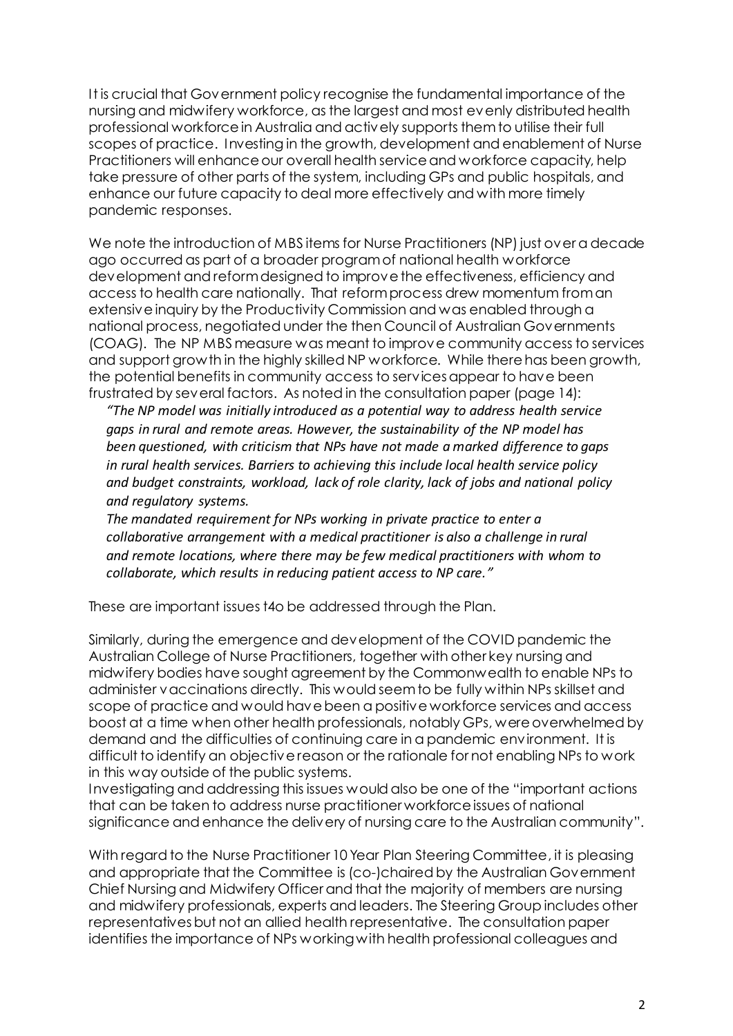It is crucial that Government policy recognise the fundamental importance of the nursing and midwifery workforce, as the largest and most evenly distributed health professional workforce in Australia and actively supports them to utilise their full scopes of practice. Investing in the growth, development and enablement of Nurse Practitioners will enhance our overall health service and workforce capacity, help take pressure of other parts of the system, including GPs and public hospitals, and enhance our future capacity to deal more effectively and with more timely pandemic responses.

We note the introduction of MBS items for Nurse Practitioners (NP) just over a decade ago occurred as part of a broader program of national health workforce development and reform designed to improve the effectiveness, efficiency and access to health care nationally. That reform process drew momentum froman extensive inquiry by the Productivity Commission and was enabled through a national process, negotiated under the then Council of Australian Governments (COAG). The NP MBS measure was meant to improve community access to services and support growth in the highly skilled NP workforce. While there has been growth, the potential benefits in community access to services appear to have been frustrated by several factors. As noted in the consultation paper (page 14):

*"The NP model was initially introduced as a potential way to address health service gaps in rural and remote areas. However, the sustainability of the NP model has been questioned, with criticism that NPs have not made a marked difference to gaps in rural health services. Barriers to achieving this include local health service policy and budget constraints, workload, lack of role clarity, lack of jobs and national policy and regulatory systems.*

*The mandated requirement for NPs working in private practice to enter a collaborative arrangement with a medical practitioner is also a challenge in rural and remote locations, where there may be few medical practitioners with whom to collaborate, which results in reducing patient access to NP care."*

These are important issues t4o be addressed through the Plan.

Similarly, during the emergence and development of the COVID pandemic the Australian College of Nurse Practitioners, together with other key nursing and midwifery bodies have sought agreement by the Commonwealth to enable NPs to administer vaccinations directly. This would seem to be fully within NPs skillset and scope of practice and would have been a positive workforce services and access boost at a time when other health professionals, notably GPs, were overwhelmed by demand and the difficulties of continuing care in a pandemic environment. It is difficult to identify an objective reason or the rationale for not enabling NPs to work in this way outside of the public systems.

Investigating and addressing this issues would also be one of the "important actions that can be taken to address nurse practitioner workforce issues of national significance and enhance the delivery of nursing care to the Australian community".

With regard to the Nurse Practitioner 10 Year Plan Steering Committee, it is pleasing and appropriate that the Committee is (co-)chaired by the Australian Government Chief Nursing and Midwifery Officer and that the majority of members are nursing and midwifery professionals, experts and leaders. The Steering Group includes other representatives but not an allied health representative. The consultation paper identifies the importance of NPs working with health professional colleagues and